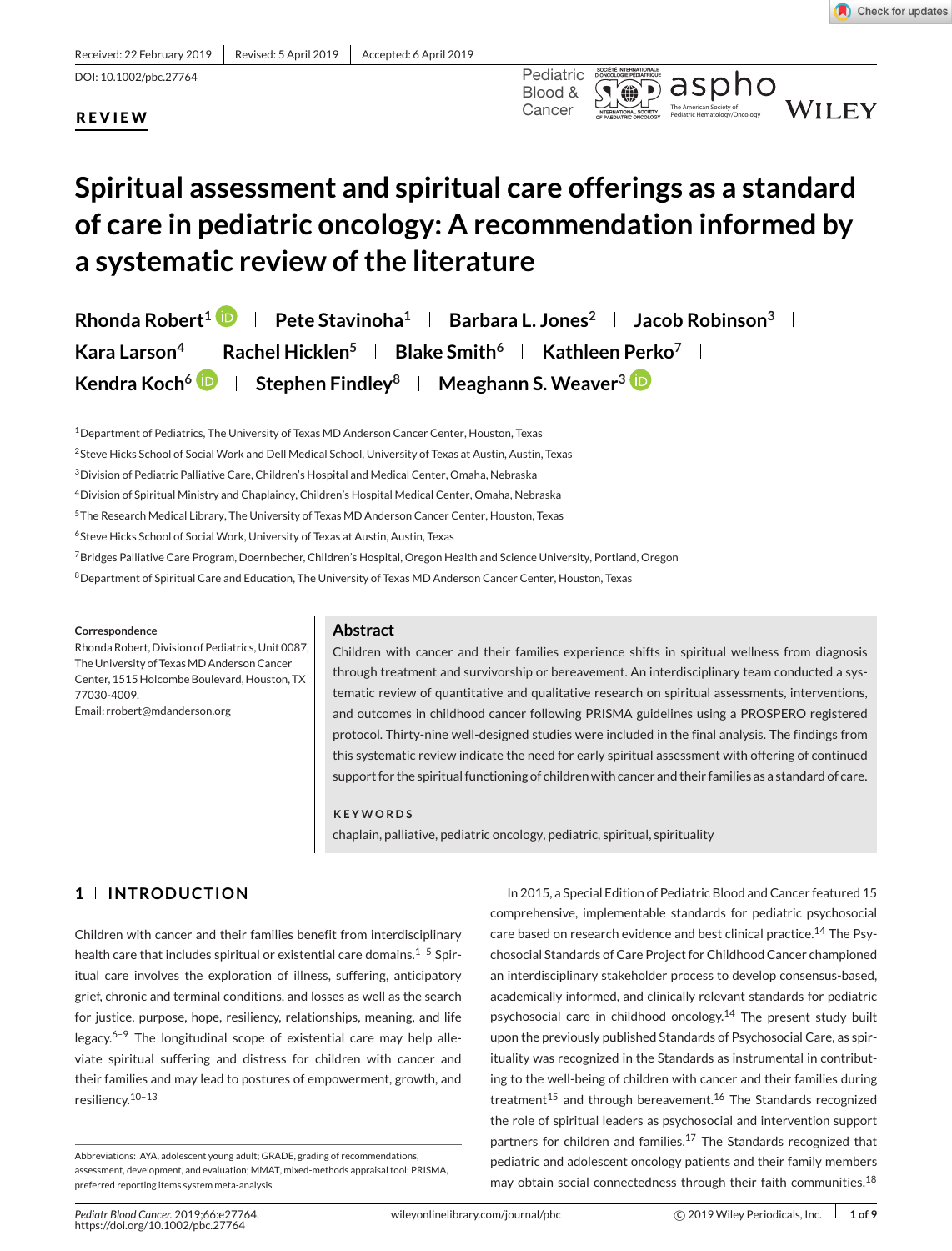Received: 22 February 2019 | Revised: 5 April 2019 | Accepted: 6 April 2019

DOI: 10.1002/pbc.27764 Pediatric

#### Pediatric Hematology/Oncology **REVIEW**



# **Spiritual assessment and spiritual care offerings as a standard of care in pediatric oncology: A recommendation informed by**

## **a systematic review of the literature**

**Rhonda Robert<sup>1</sup> <b>P** | Pete Stavinoha<sup>1</sup> | Barbara L. Jones<sup>2</sup> | Jacob Robinson<sup>3</sup> | **Kara Larson<sup>4</sup> <b>Rachel Hicklen**<sup>5</sup> **Blake Smith**<sup>6</sup> **Kathleen Perko**<sup>7</sup> **R Kendra Koch<sup>6</sup> <b>D** | Stephen Findley<sup>8</sup> | Meaghann S. Weaver<sup>3</sup> **D** 

<sup>1</sup> Department of Pediatrics, The University of Texas MD Anderson Cancer Center, Houston, Texas

2Steve Hicks School of Social Work and Dell Medical School, University of Texas at Austin, Austin, Texas

<sup>3</sup> Division of Pediatric Palliative Care, Children's Hospital and Medical Center, Omaha, Nebraska

4Division of Spiritual Ministry and Chaplaincy, Children's Hospital Medical Center, Omaha, Nebraska

5The Research Medical Library, The University of Texas MD Anderson Cancer Center, Houston, Texas

6Steve Hicks School of Social Work, University of Texas at Austin, Austin, Texas

<sup>7</sup> Bridges Palliative Care Program, Doernbecher, Children's Hospital, Oregon Health and Science University, Portland, Oregon

8Department of Spiritual Care and Education, The University of Texas MD Anderson Cancer Center, Houston, Texas

#### **Correspondence**

Rhonda Robert, Division of Pediatrics, Unit 0087, The University of Texas MD Anderson Cancer Center, 1515 Holcombe Boulevard, Houston, TX 77030-4009.

Email: rrobert@mdanderson.org

#### **Abstract**

Children with cancer and their families experience shifts in spiritual wellness from diagnosis through treatment and survivorship or bereavement. An interdisciplinary team conducted a systematic review of quantitative and qualitative research on spiritual assessments, interventions, and outcomes in childhood cancer following PRISMA guidelines using a PROSPERO registered protocol. Thirty-nine well-designed studies were included in the final analysis. The findings from this systematic review indicate the need for early spiritual assessment with offering of continued support for the spiritual functioning of children with cancer and their families as a standard of care.

#### **KEYWORDS**

chaplain, palliative, pediatric oncology, pediatric, spiritual, spirituality

### **1 INTRODUCTION**

Children with cancer and their families benefit from interdisciplinary health care that includes spiritual or existential care domains.<sup>1-5</sup> Spiritual care involves the exploration of illness, suffering, anticipatory grief, chronic and terminal conditions, and losses as well as the search for justice, purpose, hope, resiliency, relationships, meaning, and life legacy. $6-9$  The longitudinal scope of existential care may help alleviate spiritual suffering and distress for children with cancer and their families and may lead to postures of empowerment, growth, and resiliency.10–13

In 2015, a Special Edition of Pediatric Blood and Cancer featured 15 comprehensive, implementable standards for pediatric psychosocial care based on research evidence and best clinical practice.<sup>14</sup> The Psychosocial Standards of Care Project for Childhood Cancer championed an interdisciplinary stakeholder process to develop consensus-based, academically informed, and clinically relevant standards for pediatric psychosocial care in childhood oncology.<sup>14</sup> The present study built upon the previously published Standards of Psychosocial Care, as spirituality was recognized in the Standards as instrumental in contributing to the well-being of children with cancer and their families during treatment<sup>15</sup> and through bereavement.<sup>16</sup> The Standards recognized the role of spiritual leaders as psychosocial and intervention support partners for children and families.<sup>17</sup> The Standards recognized that pediatric and adolescent oncology patients and their family members may obtain social connectedness through their faith communities.<sup>18</sup>

Abbreviations: AYA, adolescent young adult; GRADE, grading of recommendations, assessment, development, and evaluation; MMAT, mixed-methods appraisal tool; PRISMA, preferred reporting items system meta-analysis.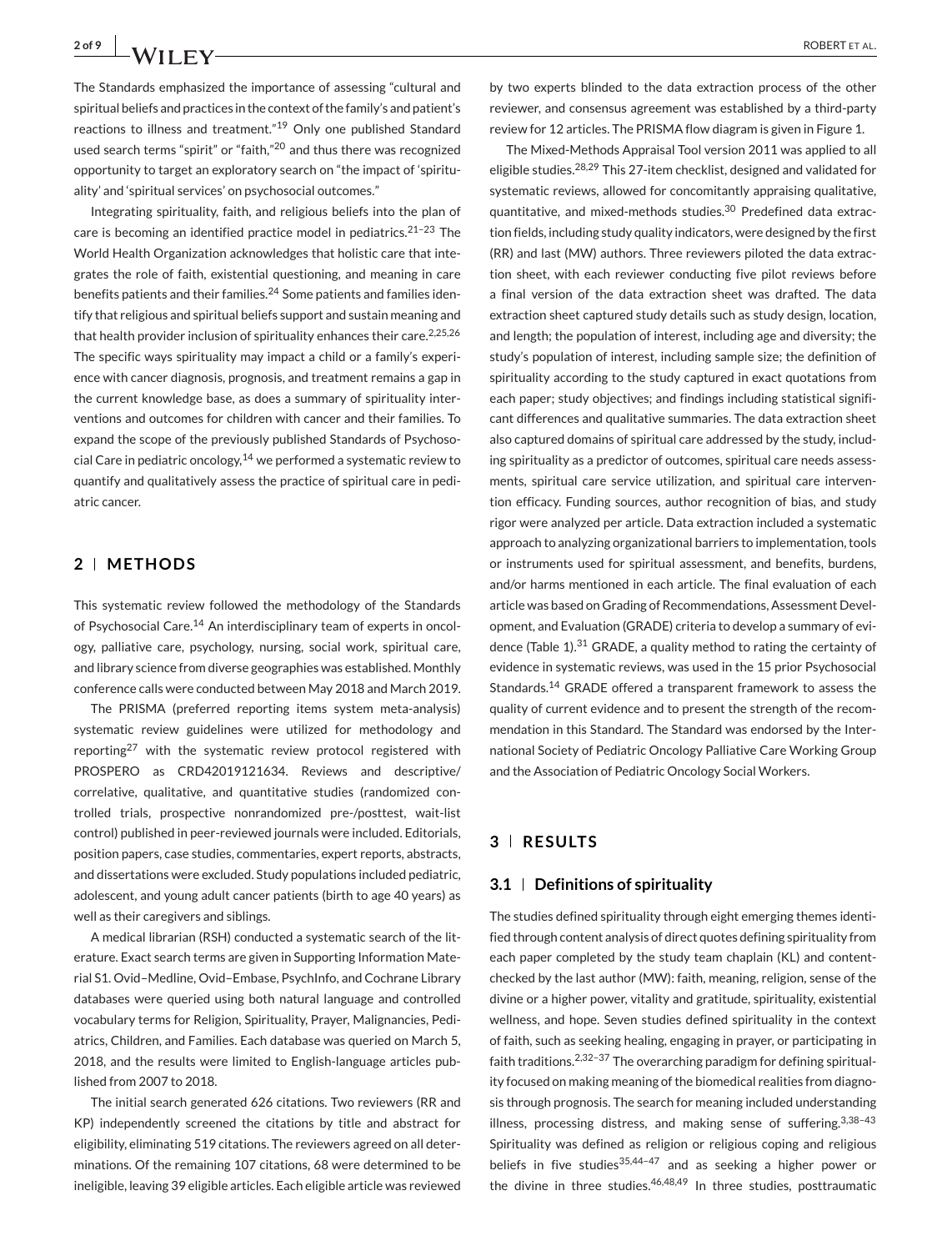The Standards emphasized the importance of assessing "cultural and spiritual beliefs and practices in the context of the family's and patient's reactions to illness and treatment."<sup>19</sup> Only one published Standard used search terms "spirit" or "faith,"<sup>20</sup> and thus there was recognized opportunity to target an exploratory search on "the impact of 'spirituality' and 'spiritual services' on psychosocial outcomes."

Integrating spirituality, faith, and religious beliefs into the plan of care is becoming an identified practice model in pediatrics. $21-23$  The World Health Organization acknowledges that holistic care that integrates the role of faith, existential questioning, and meaning in care benefits patients and their families.<sup>24</sup> Some patients and families identify that religious and spiritual beliefs support and sustain meaning and that health provider inclusion of spirituality enhances their care.<sup>2,25,26</sup> The specific ways spirituality may impact a child or a family's experience with cancer diagnosis, prognosis, and treatment remains a gap in the current knowledge base, as does a summary of spirituality interventions and outcomes for children with cancer and their families. To expand the scope of the previously published Standards of Psychosocial Care in pediatric oncology,  $14$  we performed a systematic review to quantify and qualitatively assess the practice of spiritual care in pediatric cancer.

#### **2 METHODS**

This systematic review followed the methodology of the Standards of Psychosocial Care.<sup>14</sup> An interdisciplinary team of experts in oncology, palliative care, psychology, nursing, social work, spiritual care, and library science from diverse geographies was established. Monthly conference calls were conducted between May 2018 and March 2019.

The PRISMA (preferred reporting items system meta-analysis) systematic review guidelines were utilized for methodology and reporting<sup>27</sup> with the systematic review protocol registered with PROSPERO as CRD42019121634. Reviews and descriptive/ correlative, qualitative, and quantitative studies (randomized controlled trials, prospective nonrandomized pre-/posttest, wait-list control) published in peer-reviewed journals were included. Editorials, position papers, case studies, commentaries, expert reports, abstracts, and dissertations were excluded. Study populations included pediatric, adolescent, and young adult cancer patients (birth to age 40 years) as well as their caregivers and siblings.

A medical librarian (RSH) conducted a systematic search of the literature. Exact search terms are given in Supporting Information Material S1. Ovid–Medline, Ovid–Embase, PsychInfo, and Cochrane Library databases were queried using both natural language and controlled vocabulary terms for Religion, Spirituality, Prayer, Malignancies, Pediatrics, Children, and Families. Each database was queried on March 5, 2018, and the results were limited to English-language articles published from 2007 to 2018.

The initial search generated 626 citations. Two reviewers (RR and KP) independently screened the citations by title and abstract for eligibility, eliminating 519 citations. The reviewers agreed on all determinations. Of the remaining 107 citations, 68 were determined to be ineligible, leaving 39 eligible articles. Each eligible article was reviewed

by two experts blinded to the data extraction process of the other reviewer, and consensus agreement was established by a third-party review for 12 articles. The PRISMA flow diagram is given in Figure 1.

The Mixed-Methods Appraisal Tool version 2011 was applied to all eligible studies.28,29 This 27-item checklist, designed and validated for systematic reviews, allowed for concomitantly appraising qualitative, quantitative, and mixed-methods studies.<sup>30</sup> Predefined data extraction fields, including study quality indicators, were designed by the first (RR) and last (MW) authors. Three reviewers piloted the data extraction sheet, with each reviewer conducting five pilot reviews before a final version of the data extraction sheet was drafted. The data extraction sheet captured study details such as study design, location, and length; the population of interest, including age and diversity; the study's population of interest, including sample size; the definition of spirituality according to the study captured in exact quotations from each paper; study objectives; and findings including statistical significant differences and qualitative summaries. The data extraction sheet also captured domains of spiritual care addressed by the study, including spirituality as a predictor of outcomes, spiritual care needs assessments, spiritual care service utilization, and spiritual care intervention efficacy. Funding sources, author recognition of bias, and study rigor were analyzed per article. Data extraction included a systematic approach to analyzing organizational barriers to implementation, tools or instruments used for spiritual assessment, and benefits, burdens, and/or harms mentioned in each article. The final evaluation of each article was based on Grading of Recommendations, Assessment Development, and Evaluation (GRADE) criteria to develop a summary of evidence (Table 1). $31$  GRADE, a quality method to rating the certainty of evidence in systematic reviews, was used in the 15 prior Psychosocial Standards.<sup>14</sup> GRADE offered a transparent framework to assess the quality of current evidence and to present the strength of the recommendation in this Standard. The Standard was endorsed by the International Society of Pediatric Oncology Palliative Care Working Group and the Association of Pediatric Oncology Social Workers.

#### **3 RESULTS**

#### **3.1 Definitions of spirituality**

The studies defined spirituality through eight emerging themes identified through content analysis of direct quotes defining spirituality from each paper completed by the study team chaplain (KL) and contentchecked by the last author (MW): faith, meaning, religion, sense of the divine or a higher power, vitality and gratitude, spirituality, existential wellness, and hope. Seven studies defined spirituality in the context of faith, such as seeking healing, engaging in prayer, or participating in faith traditions.2,32–37 The overarching paradigm for defining spirituality focused on making meaning of the biomedical realities from diagnosis through prognosis. The search for meaning included understanding illness, processing distress, and making sense of suffering.  $3,38-43$ Spirituality was defined as religion or religious coping and religious beliefs in five studies<sup>35,44-47</sup> and as seeking a higher power or the divine in three studies. $46,48,49$  In three studies, posttraumatic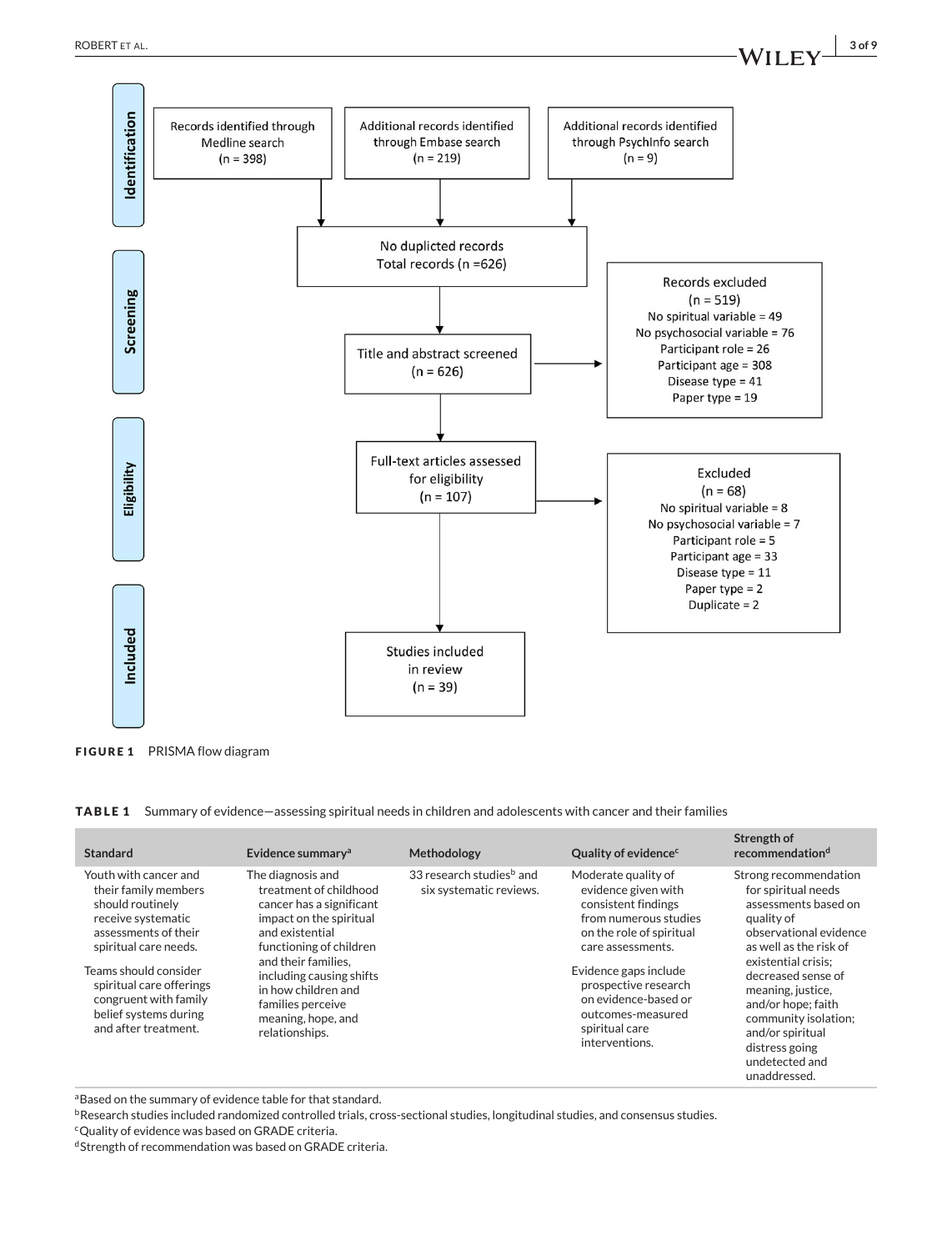

**FIGURE 1** PRISMA flow diagram

**TABLE 1** Summary of evidence—assessing spiritual needs in children and adolescents with cancer and their families

| <b>Standard</b>                                                                                                                                                                                                                                                         | Evidence summary <sup>a</sup>                                                                                                                                                                                                                                                           | Methodology                                                     | Quality of evidence <sup>c</sup>                                                                                                                                                                                                                                              | Strength of<br>recommendationd                                                                                                                                                                                                                                                                                                 |
|-------------------------------------------------------------------------------------------------------------------------------------------------------------------------------------------------------------------------------------------------------------------------|-----------------------------------------------------------------------------------------------------------------------------------------------------------------------------------------------------------------------------------------------------------------------------------------|-----------------------------------------------------------------|-------------------------------------------------------------------------------------------------------------------------------------------------------------------------------------------------------------------------------------------------------------------------------|--------------------------------------------------------------------------------------------------------------------------------------------------------------------------------------------------------------------------------------------------------------------------------------------------------------------------------|
| Youth with cancer and<br>their family members<br>should routinely<br>receive systematic<br>assessments of their<br>spiritual care needs.<br>Teams should consider<br>spiritual care offerings<br>congruent with family<br>belief systems during<br>and after treatment. | The diagnosis and<br>treatment of childhood<br>cancer has a significant<br>impact on the spiritual<br>and existential<br>functioning of children<br>and their families.<br>including causing shifts<br>in how children and<br>families perceive<br>meaning, hope, and<br>relationships. | 33 research studies <sup>b</sup> and<br>six systematic reviews. | Moderate quality of<br>evidence given with<br>consistent findings<br>from numerous studies<br>on the role of spiritual<br>care assessments.<br>Evidence gaps include<br>prospective research<br>on evidence-based or<br>outcomes-measured<br>spiritual care<br>interventions. | Strong recommendation<br>for spiritual needs<br>assessments based on<br>quality of<br>observational evidence<br>as well as the risk of<br>existential crisis:<br>decreased sense of<br>meaning, justice,<br>and/or hope; faith<br>community isolation;<br>and/or spiritual<br>distress going<br>undetected and<br>unaddressed. |

aBased on the summary of evidence table for that standard.

**bResearch studies included randomized controlled trials, cross-sectional studies, longitudinal studies, and consensus studies.** 

cQuality of evidence was based on GRADE criteria.

dStrength of recommendation was based on GRADE criteria.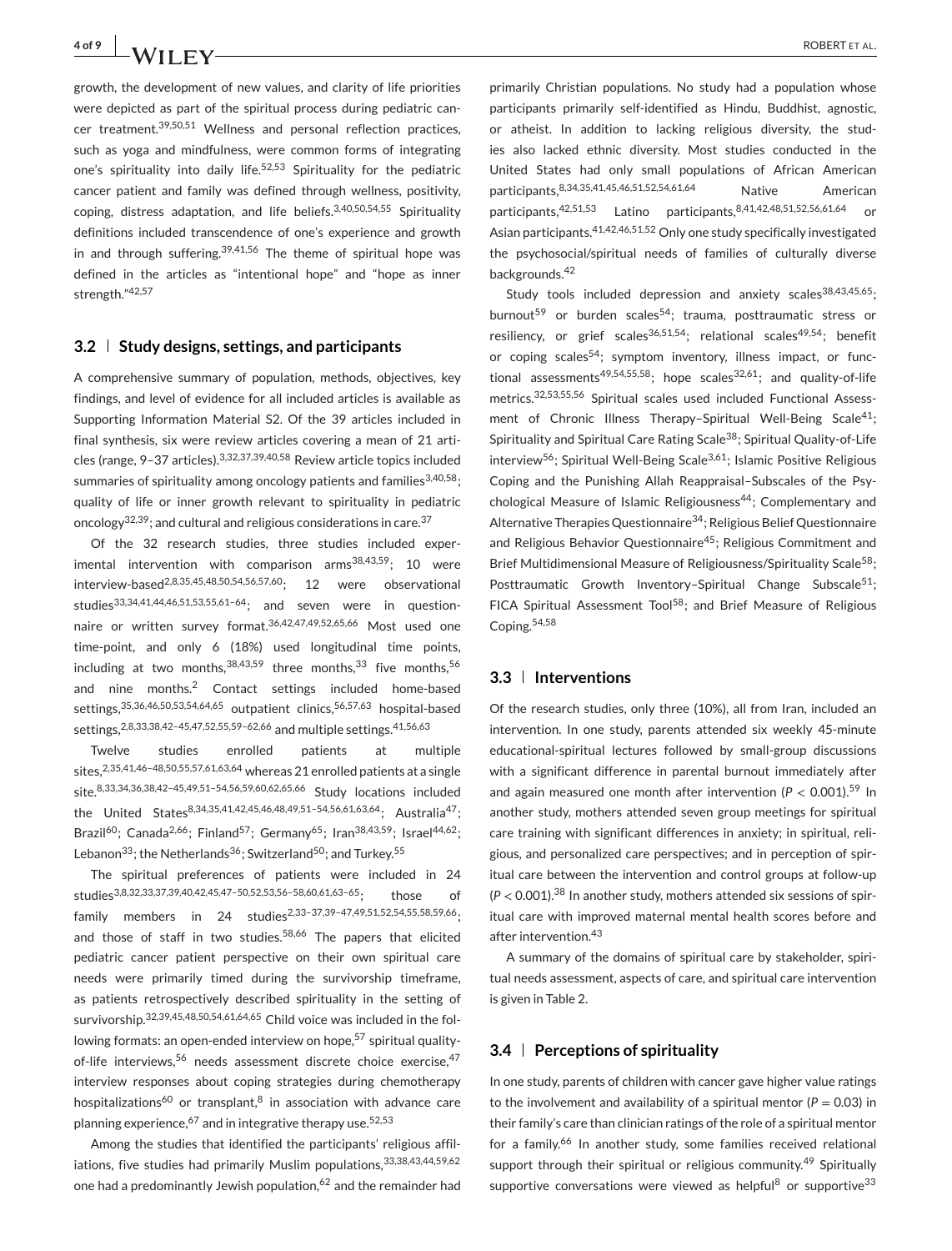growth, the development of new values, and clarity of life priorities were depicted as part of the spiritual process during pediatric cancer treatment.39,50,51 Wellness and personal reflection practices, such as yoga and mindfulness, were common forms of integrating one's spirituality into daily life.<sup>52,53</sup> Spirituality for the pediatric cancer patient and family was defined through wellness, positivity, coping, distress adaptation, and life beliefs.3,40,50,54,55 Spirituality definitions included transcendence of one's experience and growth in and through suffering.<sup>39,41,56</sup> The theme of spiritual hope was defined in the articles as "intentional hope" and "hope as inner strength."42,57

#### **3.2 Study designs, settings, and participants**

A comprehensive summary of population, methods, objectives, key findings, and level of evidence for all included articles is available as Supporting Information Material S2. Of the 39 articles included in final synthesis, six were review articles covering a mean of 21 articles (range, 9–37 articles).3,32,37,39,40,58 Review article topics included summaries of spirituality among oncology patients and families $3,40,58$ ; quality of life or inner growth relevant to spirituality in pediatric oncology<sup>32,39</sup>; and cultural and religious considerations in care.<sup>37</sup>

Of the 32 research studies, three studies included experimental intervention with comparison arms $38,43,59$ ; 10 were interview-based2,8,35,45,48,50,54,56,57,60; 12 were observational studies33,34,41,44,46,51,53,55,61–64; and seven were in questionnaire or written survey format.36,42,47,49,52,65,66 Most used one time-point, and only 6 (18%) used longitudinal time points, including at two months,  $38,43,59$  three months,  $33$  five months,  $56$ and nine months.<sup>2</sup> Contact settings included home-based settings, 35,36,46,50,53,54,64,65 outpatient clinics, 56,57,63 hospital-based settings, 2,8,33,38,42-45,47,52,55,59-62,66 and multiple settings. 41,56,63

Twelve studies enrolled patients at multiple sites,2,35,41,46–48,50,55,57,61,63,64 whereas 21 enrolled patients at a single site.8,33,34,36,38,42–45,49,51–54,56,59,60,62,65,66 Study locations included the United States<sup>8,34,35,41,42,45,46,48,49,51-54,56,61,63,64</sup>; Australia<sup>47</sup>; Brazil<sup>60</sup>; Canada<sup>2,66</sup>; Finland<sup>57</sup>; Germany<sup>65</sup>; Iran<sup>38,43,59</sup>; Israel<sup>44,62</sup>; Lebanon<sup>33</sup>; the Netherlands<sup>36</sup>; Switzerland<sup>50</sup>; and Turkey.<sup>55</sup>

The spiritual preferences of patients were included in 24 studies3,8,32,33,37,39,40,42,45,47–50,52,53,56–58,60,61,63–65; those of family members in 24 studies<sup>2,33-37,39-47,49,51,52,54,55,58,59,66</sup>; and those of staff in two studies.<sup>58,66</sup> The papers that elicited pediatric cancer patient perspective on their own spiritual care needs were primarily timed during the survivorship timeframe, as patients retrospectively described spirituality in the setting of survivorship.32,39,45,48,50,54,61,64,65 Child voice was included in the following formats: an open-ended interview on hope,<sup>57</sup> spiritual qualityof-life interviews,<sup>56</sup> needs assessment discrete choice exercise,<sup>47</sup> interview responses about coping strategies during chemotherapy hospitalizations<sup>60</sup> or transplant, $8$  in association with advance care planning experience,  $67$  and in integrative therapy use.  $52,53$ 

Among the studies that identified the participants' religious affiliations, five studies had primarily Muslim populations, 33,38,43,44,59,62 one had a predominantly Jewish population,<sup>62</sup> and the remainder had

primarily Christian populations. No study had a population whose participants primarily self-identified as Hindu, Buddhist, agnostic, or atheist. In addition to lacking religious diversity, the studies also lacked ethnic diversity. Most studies conducted in the United States had only small populations of African American participants,8,34,35,41,45,46,51,52,54,61,64 Native American participants,42,51,53 Latino participants,8,41,42,48,51,52,56,61,64 or Asian participants.41,42,46,51,52 Only one study specifically investigated the psychosocial/spiritual needs of families of culturally diverse backgrounds.<sup>42</sup>

Study tools included depression and anxiety scales $38,43,45,65$ ; burnout<sup>59</sup> or burden scales<sup>54</sup>; trauma, posttraumatic stress or resiliency, or grief scales<sup>36,51,54</sup>; relational scales<sup>49,54</sup>; benefit or coping scales<sup>54</sup>; symptom inventory, illness impact, or functional assessments<sup>49,54,55,58</sup>; hope scales<sup>32,61</sup>; and quality-of-life metrics.32,53,55,56 Spiritual scales used included Functional Assessment of Chronic Illness Therapy-Spiritual Well-Being Scale<sup>41</sup>: Spirituality and Spiritual Care Rating Scale38; Spiritual Quality-of-Life interview<sup>56</sup>; Spiritual Well-Being Scale<sup>3,61</sup>; Islamic Positive Religious Coping and the Punishing Allah Reappraisal–Subscales of the Psychological Measure of Islamic Religiousness<sup>44</sup>; Complementary and Alternative Therapies Questionnaire<sup>34</sup>; Religious Belief Questionnaire and Religious Behavior Questionnaire<sup>45</sup>; Religious Commitment and Brief Multidimensional Measure of Religiousness/Spirituality Scale<sup>58</sup>; Posttraumatic Growth Inventory-Spiritual Change Subscale<sup>51</sup>; FICA Spiritual Assessment Tool<sup>58</sup>; and Brief Measure of Religious Coping.54,58

#### **3.3 Interventions**

Of the research studies, only three (10%), all from Iran, included an intervention. In one study, parents attended six weekly 45-minute educational-spiritual lectures followed by small-group discussions with a significant difference in parental burnout immediately after and again measured one month after intervention ( $P < 0.001$ ).<sup>59</sup> In another study, mothers attended seven group meetings for spiritual care training with significant differences in anxiety; in spiritual, religious, and personalized care perspectives; and in perception of spiritual care between the intervention and control groups at follow-up  $(P < 0.001)$ .<sup>38</sup> In another study, mothers attended six sessions of spiritual care with improved maternal mental health scores before and after intervention.<sup>43</sup>

A summary of the domains of spiritual care by stakeholder, spiritual needs assessment, aspects of care, and spiritual care intervention is given in Table 2.

#### **3.4 Perceptions of spirituality**

In one study, parents of children with cancer gave higher value ratings to the involvement and availability of a spiritual mentor ( $P = 0.03$ ) in their family's care than clinician ratings of the role of a spiritual mentor for a family.<sup>66</sup> In another study, some families received relational support through their spiritual or religious community.<sup>49</sup> Spiritually supportive conversations were viewed as helpful<sup>8</sup> or supportive<sup>33</sup>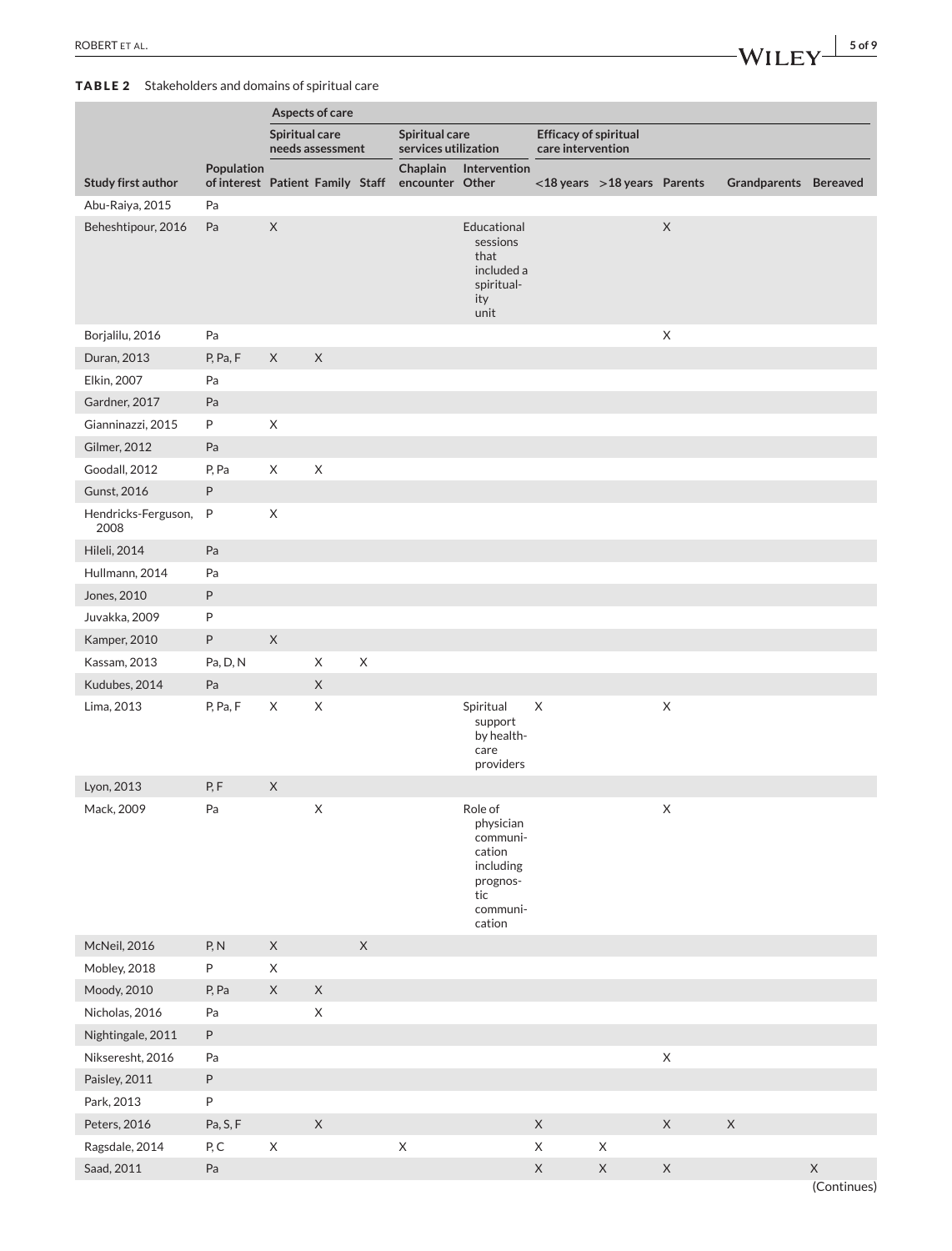#### **TABLE 2** Stakeholders and domains of spiritual care

|                             |                                                | Aspects of care                    |             |                                        |                             |                                                                                                  |             |                                 |             |                       |             |
|-----------------------------|------------------------------------------------|------------------------------------|-------------|----------------------------------------|-----------------------------|--------------------------------------------------------------------------------------------------|-------------|---------------------------------|-------------|-----------------------|-------------|
|                             |                                                | Spiritual care<br>needs assessment |             | Spiritual care<br>services utilization |                             | <b>Efficacy of spiritual</b><br>care intervention                                                |             |                                 |             |                       |             |
| Study first author          | Population<br>of interest Patient Family Staff |                                    |             |                                        | Chaplain<br>encounter Other | Intervention                                                                                     |             | $<$ 18 years > 18 years Parents |             | Grandparents Bereaved |             |
| Abu-Raiya, 2015             | Pa                                             |                                    |             |                                        |                             |                                                                                                  |             |                                 |             |                       |             |
| Beheshtipour, 2016          | Pa                                             | $\mathsf X$                        |             |                                        |                             | Educational<br>sessions<br>that<br>included a<br>spiritual-<br>ity<br>unit                       |             |                                 | $\mathsf X$ |                       |             |
| Borjalilu, 2016             | Pa                                             |                                    |             |                                        |                             |                                                                                                  |             |                                 | $\mathsf X$ |                       |             |
| Duran, 2013                 | P, Pa, F                                       | X                                  | $\mathsf X$ |                                        |                             |                                                                                                  |             |                                 |             |                       |             |
| Elkin, 2007                 | Pa                                             |                                    |             |                                        |                             |                                                                                                  |             |                                 |             |                       |             |
| Gardner, 2017               | Pa                                             |                                    |             |                                        |                             |                                                                                                  |             |                                 |             |                       |             |
| Gianninazzi, 2015           | P                                              | X                                  |             |                                        |                             |                                                                                                  |             |                                 |             |                       |             |
| Gilmer, 2012                | Pa                                             |                                    |             |                                        |                             |                                                                                                  |             |                                 |             |                       |             |
| Goodall, 2012               | P, Pa                                          | X                                  | X           |                                        |                             |                                                                                                  |             |                                 |             |                       |             |
| Gunst, 2016                 | P                                              |                                    |             |                                        |                             |                                                                                                  |             |                                 |             |                       |             |
| Hendricks-Ferguson,<br>2008 | $\mathsf{P}$                                   | $\mathsf X$                        |             |                                        |                             |                                                                                                  |             |                                 |             |                       |             |
| <b>Hileli</b> , 2014        | Pa                                             |                                    |             |                                        |                             |                                                                                                  |             |                                 |             |                       |             |
| Hullmann, 2014              | Pa                                             |                                    |             |                                        |                             |                                                                                                  |             |                                 |             |                       |             |
| Jones, 2010                 | $\sf P$                                        |                                    |             |                                        |                             |                                                                                                  |             |                                 |             |                       |             |
| Juvakka, 2009               | $\sf P$                                        |                                    |             |                                        |                             |                                                                                                  |             |                                 |             |                       |             |
| Kamper, 2010                | $\sf P$                                        | $\mathsf X$                        |             |                                        |                             |                                                                                                  |             |                                 |             |                       |             |
| Kassam, 2013                | Pa, D, N                                       |                                    | X           | $\boldsymbol{\mathsf{X}}$              |                             |                                                                                                  |             |                                 |             |                       |             |
| Kudubes, 2014               | Pa                                             |                                    | $\mathsf X$ |                                        |                             |                                                                                                  |             |                                 |             |                       |             |
| Lima, 2013                  | P, Pa, F                                       | X                                  | X           |                                        |                             | Spiritual<br>support<br>by health-<br>care<br>providers                                          | $\times$    |                                 | X           |                       |             |
| Lyon, 2013                  | P, F                                           | $\mathsf X$                        |             |                                        |                             |                                                                                                  |             |                                 |             |                       |             |
| Mack, 2009                  | Pa                                             |                                    | X           |                                        |                             | Role of<br>physician<br>communi-<br>cation<br>including<br>prognos-<br>tic<br>communi-<br>cation |             |                                 | X           |                       |             |
| McNeil, 2016                | P, N                                           | $\mathsf X$                        |             | $\mathsf X$                            |                             |                                                                                                  |             |                                 |             |                       |             |
| Mobley, 2018                | $\sf P$                                        | $\mathsf X$                        |             |                                        |                             |                                                                                                  |             |                                 |             |                       |             |
| Moody, 2010                 | P, Pa                                          | $\mathsf X$                        | $\mathsf X$ |                                        |                             |                                                                                                  |             |                                 |             |                       |             |
| Nicholas, 2016              | Pa                                             |                                    | $\mathsf X$ |                                        |                             |                                                                                                  |             |                                 |             |                       |             |
| Nightingale, 2011           | $\sf P$                                        |                                    |             |                                        |                             |                                                                                                  |             |                                 |             |                       |             |
| Nikseresht, 2016            | Pa                                             |                                    |             |                                        |                             |                                                                                                  |             |                                 | $\mathsf X$ |                       |             |
| Paisley, 2011               | $\sf P$                                        |                                    |             |                                        |                             |                                                                                                  |             |                                 |             |                       |             |
| Park, 2013                  | $\sf P$                                        |                                    |             |                                        |                             |                                                                                                  |             |                                 |             |                       |             |
| Peters, 2016                | Pa, S, F                                       |                                    | $\mathsf X$ |                                        |                             |                                                                                                  | $\mathsf X$ |                                 | $\mathsf X$ | $\mathsf X$           |             |
| Ragsdale, 2014              | P, C                                           | $\mathsf X$                        |             |                                        | $\mathsf X$                 |                                                                                                  | X           | X                               |             |                       |             |
| Saad, 2011                  | Pa                                             |                                    |             |                                        |                             |                                                                                                  | $\mathsf X$ | $\mathsf X$                     | $\mathsf X$ |                       | $\mathsf X$ |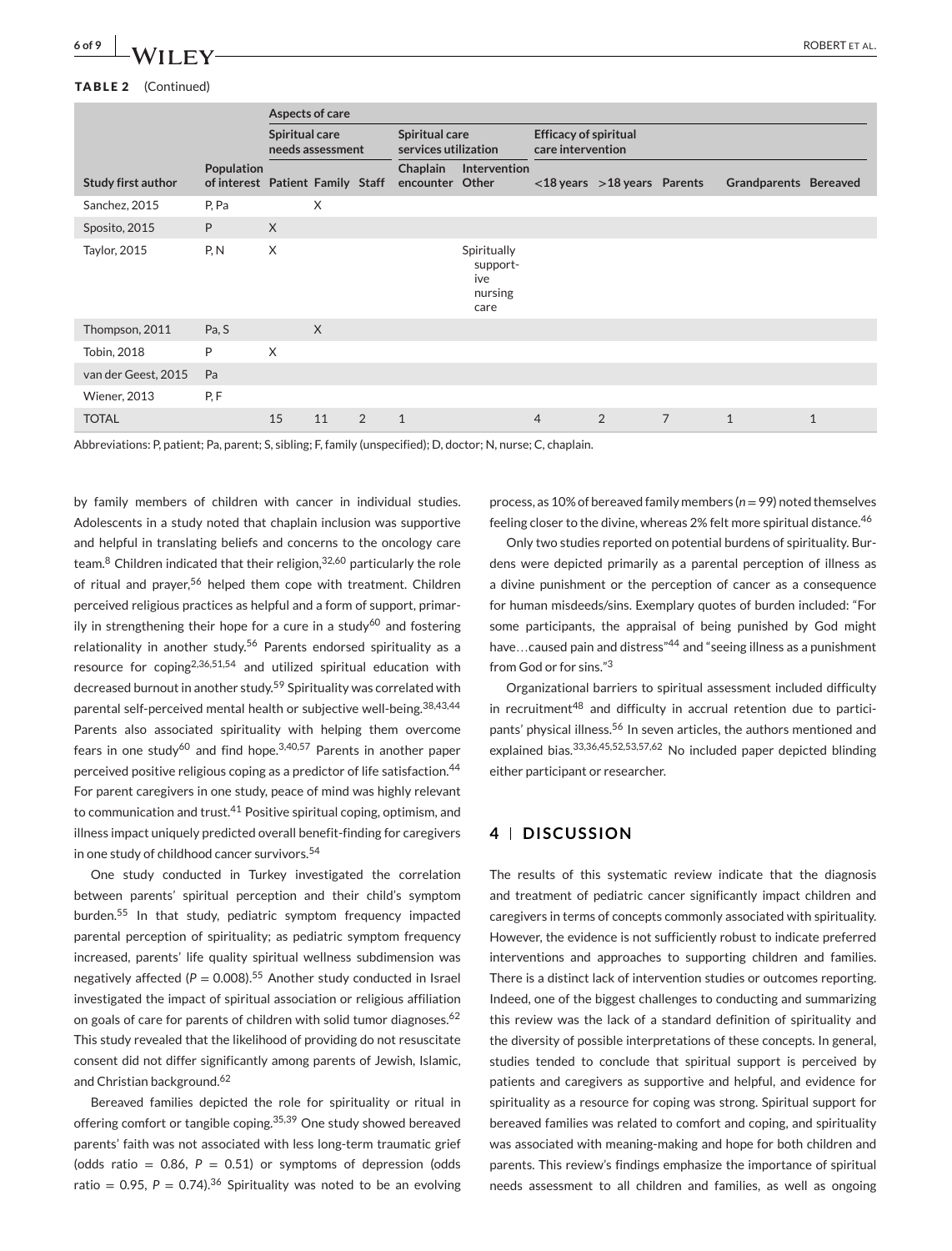#### **TABLE 2** (Continued)

|                           |                                                       | Aspects of care                    |          |   |                                        |                                                   |                                                   |                                   |                |                       |              |
|---------------------------|-------------------------------------------------------|------------------------------------|----------|---|----------------------------------------|---------------------------------------------------|---------------------------------------------------|-----------------------------------|----------------|-----------------------|--------------|
|                           |                                                       | Spiritual care<br>needs assessment |          |   | Spiritual care<br>services utilization |                                                   | <b>Efficacy of spiritual</b><br>care intervention |                                   |                |                       |              |
| <b>Study first author</b> | <b>Population</b><br>of interest Patient Family Staff |                                    |          |   | Chaplain<br>encounter Other            | <b>Intervention</b>                               |                                                   | $<$ 18 years $>$ 18 years Parents |                | Grandparents Bereaved |              |
| Sanchez, 2015             | P, Pa                                                 |                                    | X        |   |                                        |                                                   |                                                   |                                   |                |                       |              |
| Sposito, 2015             | P                                                     | $\times$                           |          |   |                                        |                                                   |                                                   |                                   |                |                       |              |
| Taylor, 2015              | P, N                                                  | $\times$                           |          |   |                                        | Spiritually<br>support-<br>ive<br>nursing<br>care |                                                   |                                   |                |                       |              |
| Thompson, 2011            | Pa, S                                                 |                                    | $\times$ |   |                                        |                                                   |                                                   |                                   |                |                       |              |
| Tobin, 2018               | P                                                     | X                                  |          |   |                                        |                                                   |                                                   |                                   |                |                       |              |
| van der Geest, 2015       | Pa                                                    |                                    |          |   |                                        |                                                   |                                                   |                                   |                |                       |              |
| <b>Wiener, 2013</b>       | P.F                                                   |                                    |          |   |                                        |                                                   |                                                   |                                   |                |                       |              |
| <b>TOTAL</b>              |                                                       | 15                                 | 11       | 2 | $\mathbf{1}$                           |                                                   | $\overline{4}$                                    | 2                                 | $\overline{7}$ | $\mathbf{1}$          | $\mathbf{1}$ |

Abbreviations: P, patient; Pa, parent; S, sibling; F, family (unspecified); D, doctor; N, nurse; C, chaplain.

by family members of children with cancer in individual studies. Adolescents in a study noted that chaplain inclusion was supportive and helpful in translating beliefs and concerns to the oncology care team.<sup>8</sup> Children indicated that their religion,32,60 particularly the role of ritual and prayer,<sup>56</sup> helped them cope with treatment. Children perceived religious practices as helpful and a form of support, primarily in strengthening their hope for a cure in a study<sup>60</sup> and fostering relationality in another study.<sup>56</sup> Parents endorsed spirituality as a resource for coping<sup>2,36,51,54</sup> and utilized spiritual education with decreased burnout in another study.<sup>59</sup> Spirituality was correlated with parental self-perceived mental health or subjective well-being.38,43,44 Parents also associated spirituality with helping them overcome fears in one study<sup>60</sup> and find hope.<sup>3,40,57</sup> Parents in another paper perceived positive religious coping as a predictor of life satisfaction.<sup>44</sup> For parent caregivers in one study, peace of mind was highly relevant to communication and trust.<sup>41</sup> Positive spiritual coping, optimism, and illness impact uniquely predicted overall benefit-finding for caregivers in one study of childhood cancer survivors.<sup>54</sup>

One study conducted in Turkey investigated the correlation between parents' spiritual perception and their child's symptom burden.<sup>55</sup> In that study, pediatric symptom frequency impacted parental perception of spirituality; as pediatric symptom frequency increased, parents' life quality spiritual wellness subdimension was negatively affected ( $P = 0.008$ ).<sup>55</sup> Another study conducted in Israel investigated the impact of spiritual association or religious affiliation on goals of care for parents of children with solid tumor diagnoses.<sup>62</sup> This study revealed that the likelihood of providing do not resuscitate consent did not differ significantly among parents of Jewish, Islamic, and Christian background.<sup>62</sup>

Bereaved families depicted the role for spirituality or ritual in offering comfort or tangible coping.<sup>35,39</sup> One study showed bereaved parents' faith was not associated with less long-term traumatic grief (odds ratio =  $0.86$ ,  $P = 0.51$ ) or symptoms of depression (odds ratio = 0.95,  $P = 0.74$ ).<sup>36</sup> Spirituality was noted to be an evolving process, as 10% of bereaved family members (*n*=99) noted themselves feeling closer to the divine, whereas 2% felt more spiritual distance.<sup>46</sup>

Only two studies reported on potential burdens of spirituality. Burdens were depicted primarily as a parental perception of illness as a divine punishment or the perception of cancer as a consequence for human misdeeds/sins. Exemplary quotes of burden included: "For some participants, the appraisal of being punished by God might have... caused pain and distress<sup>"44</sup> and "seeing illness as a punishment from God or for sins."<sup>3</sup>

Organizational barriers to spiritual assessment included difficulty in recruitment<sup>48</sup> and difficulty in accrual retention due to participants' physical illness.<sup>56</sup> In seven articles, the authors mentioned and explained bias.33,36,45,52,53,57,62 No included paper depicted blinding either participant or researcher.

#### **4 DISCUSSION**

The results of this systematic review indicate that the diagnosis and treatment of pediatric cancer significantly impact children and caregivers in terms of concepts commonly associated with spirituality. However, the evidence is not sufficiently robust to indicate preferred interventions and approaches to supporting children and families. There is a distinct lack of intervention studies or outcomes reporting. Indeed, one of the biggest challenges to conducting and summarizing this review was the lack of a standard definition of spirituality and the diversity of possible interpretations of these concepts. In general, studies tended to conclude that spiritual support is perceived by patients and caregivers as supportive and helpful, and evidence for spirituality as a resource for coping was strong. Spiritual support for bereaved families was related to comfort and coping, and spirituality was associated with meaning-making and hope for both children and parents. This review's findings emphasize the importance of spiritual needs assessment to all children and families, as well as ongoing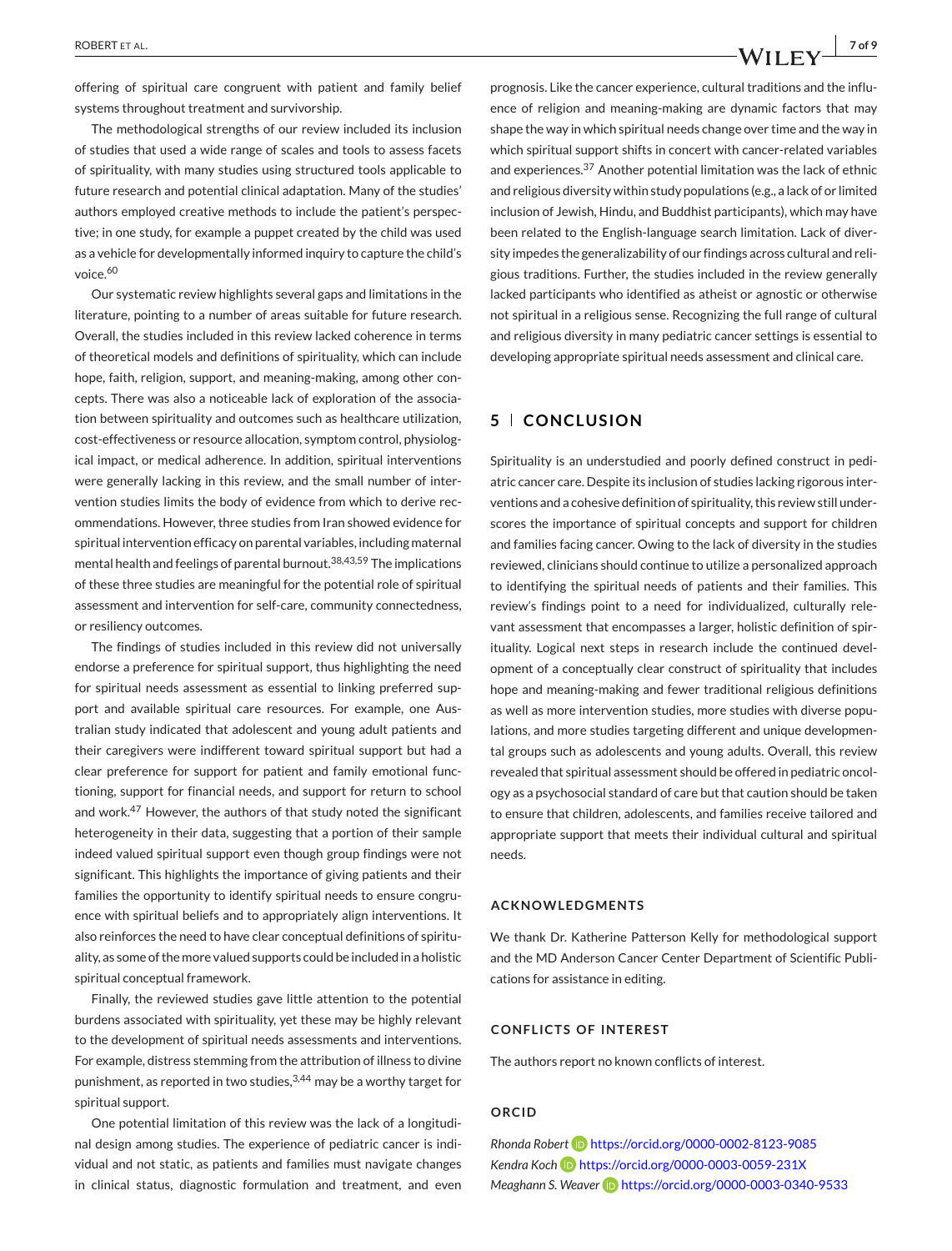offering of spiritual care congruent with patient and family belief systems throughout treatment and survivorship.

The methodological strengths of our review included its inclusion of studies that used a wide range of scales and tools to assess facets of spirituality, with many studies using structured tools applicable to future research and potential clinical adaptation. Many of the studies' authors employed creative methods to include the patient's perspective; in one study, for example a puppet created by the child was used as a vehicle for developmentally informed inquiry to capture the child's voice.<sup>60</sup>

Our systematic review highlights several gaps and limitations in the literature, pointing to a number of areas suitable for future research. Overall, the studies included in this review lacked coherence in terms of theoretical models and definitions of spirituality, which can include hope, faith, religion, support, and meaning-making, among other concepts. There was also a noticeable lack of exploration of the association between spirituality and outcomes such as healthcare utilization, cost-effectiveness or resource allocation, symptom control, physiological impact, or medical adherence. In addition, spiritual interventions were generally lacking in this review, and the small number of intervention studies limits the body of evidence from which to derive recommendations. However, three studies from Iran showed evidence for spiritual intervention efficacy on parental variables, including maternal mental health and feelings of parental burnout.38,43,59 The implications of these three studies are meaningful for the potential role of spiritual assessment and intervention for self-care, community connectedness, or resiliency outcomes.

The findings of studies included in this review did not universally endorse a preference for spiritual support, thus highlighting the need for spiritual needs assessment as essential to linking preferred support and available spiritual care resources. For example, one Australian study indicated that adolescent and young adult patients and their caregivers were indifferent toward spiritual support but had a clear preference for support for patient and family emotional functioning, support for financial needs, and support for return to school and work.<sup>47</sup> However, the authors of that study noted the significant heterogeneity in their data, suggesting that a portion of their sample indeed valued spiritual support even though group findings were not significant. This highlights the importance of giving patients and their families the opportunity to identify spiritual needs to ensure congruence with spiritual beliefs and to appropriately align interventions. It also reinforces the need to have clear conceptual definitions of spirituality, as some of the more valued supports could be included in a holistic spiritual conceptual framework.

Finally, the reviewed studies gave little attention to the potential burdens associated with spirituality, yet these may be highly relevant to the development of spiritual needs assessments and interventions. For example, distress stemming from the attribution of illness to divine punishment, as reported in two studies, 3,44 may be a worthy target for spiritual support.

One potential limitation of this review was the lack of a longitudinal design among studies. The experience of pediatric cancer is individual and not static, as patients and families must navigate changes in clinical status, diagnostic formulation and treatment, and even

prognosis. Like the cancer experience, cultural traditions and the influence of religion and meaning-making are dynamic factors that may shape the way in which spiritual needs change over time and the way in which spiritual support shifts in concert with cancer-related variables and experiences.<sup>37</sup> Another potential limitation was the lack of ethnic and religious diversity within study populations (e.g., a lack of or limited inclusion of Jewish, Hindu, and Buddhist participants), which may have been related to the English-language search limitation. Lack of diversity impedes the generalizability of our findings across cultural and religious traditions. Further, the studies included in the review generally lacked participants who identified as atheist or agnostic or otherwise not spiritual in a religious sense. Recognizing the full range of cultural and religious diversity in many pediatric cancer settings is essential to developing appropriate spiritual needs assessment and clinical care.

#### **5 CONCLUSION**

Spirituality is an understudied and poorly defined construct in pediatric cancer care. Despite its inclusion of studies lacking rigorous interventions and a cohesive definition of spirituality, this review still underscores the importance of spiritual concepts and support for children and families facing cancer. Owing to the lack of diversity in the studies reviewed, clinicians should continue to utilize a personalized approach to identifying the spiritual needs of patients and their families. This review's findings point to a need for individualized, culturally relevant assessment that encompasses a larger, holistic definition of spirituality. Logical next steps in research include the continued development of a conceptually clear construct of spirituality that includes hope and meaning-making and fewer traditional religious definitions as well as more intervention studies, more studies with diverse populations, and more studies targeting different and unique developmental groups such as adolescents and young adults. Overall, this review revealed that spiritual assessment should be offered in pediatric oncology as a psychosocial standard of care but that caution should be taken to ensure that children, adolescents, and families receive tailored and appropriate support that meets their individual cultural and spiritual needs.

#### **ACKNOWLEDGMENTS**

We thank Dr. Katherine Patterson Kelly for methodological support and the MD Anderson Cancer Center Department of Scientific Publications for assistance in editing.

#### **CONFLICTS OF INTEREST**

The authors report no known conflicts of interest.

#### **ORCID**

*Rhonda Robert* <https://orcid.org/0000-0002-8123-9085> *Kendra Koch* <https://orcid.org/0000-0003-0059-231X> *Meaghann S. Weaver* **iD** <https://orcid.org/0000-0003-0340-9533>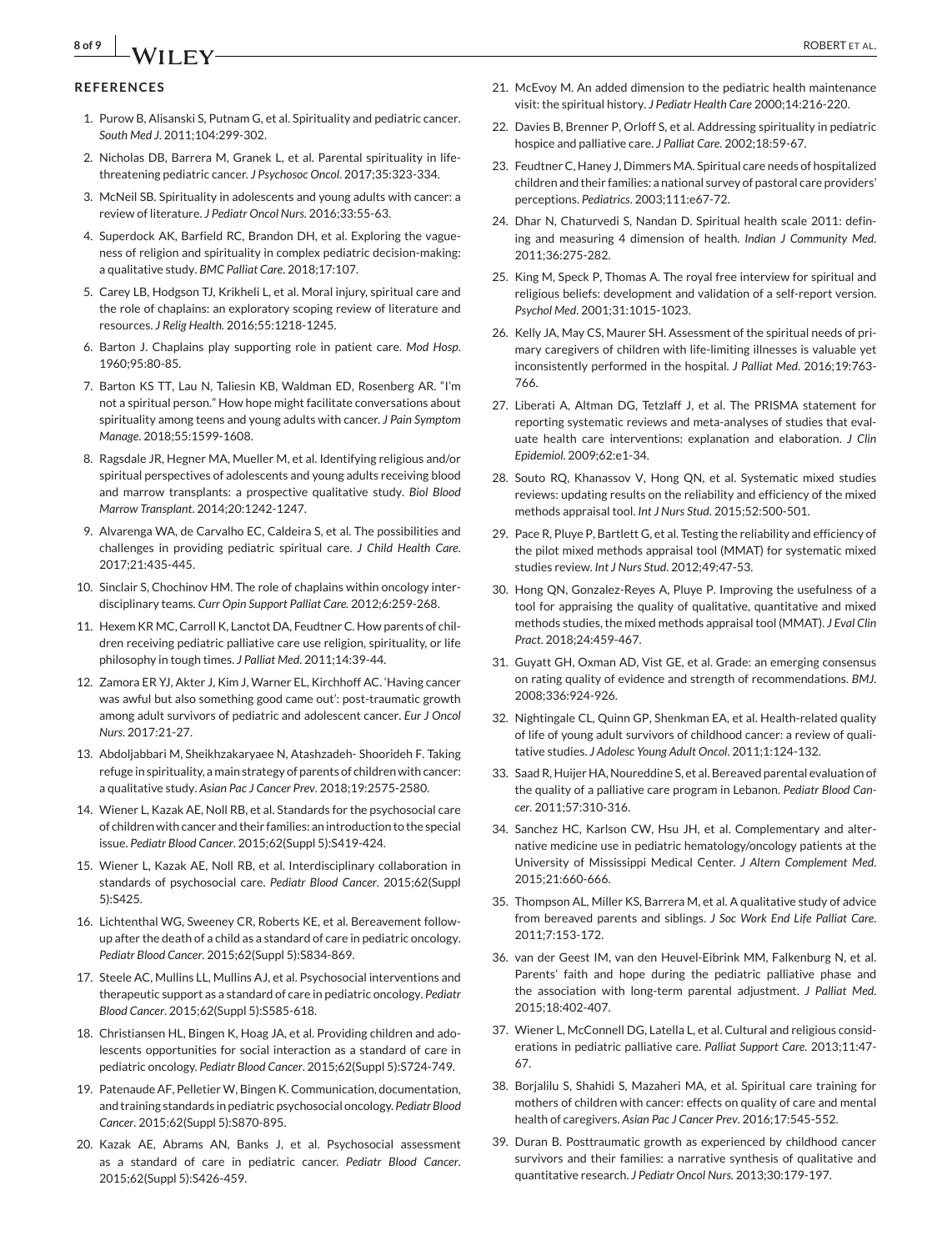#### **REFERENCES**

- 1. Purow B, Alisanski S, Putnam G, et al. Spirituality and pediatric cancer. *South Med J*. 2011;104:299-302.
- 2. Nicholas DB, Barrera M, Granek L, et al. Parental spirituality in lifethreatening pediatric cancer. *J Psychosoc Oncol*. 2017;35:323-334.
- 3. McNeil SB. Spirituality in adolescents and young adults with cancer: a review of literature. *J Pediatr Oncol Nurs.* 2016;33:55-63.
- 4. Superdock AK, Barfield RC, Brandon DH, et al. Exploring the vagueness of religion and spirituality in complex pediatric decision-making: a qualitative study. *BMC Palliat Care*. 2018;17:107.
- 5. Carey LB, Hodgson TJ, Krikheli L, et al. Moral injury, spiritual care and the role of chaplains: an exploratory scoping review of literature and resources. *J Relig Health.* 2016;55:1218-1245.
- 6. Barton J. Chaplains play supporting role in patient care. *Mod Hosp*. 1960;95:80-85.
- 7. Barton KS TT, Lau N, Taliesin KB, Waldman ED, Rosenberg AR. "I'm not a spiritual person." How hope might facilitate conversations about spirituality among teens and young adults with cancer. *J Pain Symptom Manage*. 2018;55:1599-1608.
- 8. Ragsdale JR, Hegner MA, Mueller M, et al. Identifying religious and/or spiritual perspectives of adolescents and young adults receiving blood and marrow transplants: a prospective qualitative study. *Biol Blood Marrow Transplant*. 2014;20:1242-1247.
- 9. Alvarenga WA, de Carvalho EC, Caldeira S, et al. The possibilities and challenges in providing pediatric spiritual care. *J Child Health Care*. 2017;21:435-445.
- 10. Sinclair S, Chochinov HM. The role of chaplains within oncology interdisciplinary teams. *Curr Opin Support Palliat Care.* 2012;6:259-268.
- 11. Hexem KR MC, Carroll K, Lanctot DA, Feudtner C. How parents of children receiving pediatric palliative care use religion, spirituality, or life philosophy in tough times. *J Palliat Med*. 2011;14:39-44.
- 12. Zamora ER YJ, Akter J, Kim J, Warner EL, Kirchhoff AC. 'Having cancer was awful but also something good came out': post-traumatic growth among adult survivors of pediatric and adolescent cancer. *Eur J Oncol Nurs*. 2017:21-27.
- 13. Abdoljabbari M, Sheikhzakaryaee N, Atashzadeh- Shoorideh F. Taking refuge in spirituality, a main strategy of parents of children with cancer: a qualitative study. *Asian Pac J Cancer Prev*. 2018;19:2575-2580.
- 14. Wiener L, Kazak AE, Noll RB, et al. Standards for the psychosocial care of children with cancer and their families: an introduction to the special issue. *Pediatr Blood Cancer*. 2015;62(Suppl 5):S419-424.
- 15. Wiener L, Kazak AE, Noll RB, et al. Interdisciplinary collaboration in standards of psychosocial care. *Pediatr Blood Cancer*. 2015;62(Suppl 5):S425.
- 16. Lichtenthal WG, Sweeney CR, Roberts KE, et al. Bereavement followup after the death of a child as a standard of care in pediatric oncology. *Pediatr Blood Cancer*. 2015;62(Suppl 5):S834-869.
- 17. Steele AC, Mullins LL, Mullins AJ, et al. Psychosocial interventions and therapeutic support as a standard of care in pediatric oncology. *Pediatr Blood Cancer*. 2015;62(Suppl 5):S585-618.
- 18. Christiansen HL, Bingen K, Hoag JA, et al. Providing children and adolescents opportunities for social interaction as a standard of care in pediatric oncology. *Pediatr Blood Cancer*. 2015;62(Suppl 5):S724-749.
- 19. Patenaude AF, Pelletier W, Bingen K. Communication, documentation, and training standards in pediatric psychosocial oncology. *Pediatr Blood Cancer*. 2015;62(Suppl 5):S870-895.
- 20. Kazak AE, Abrams AN, Banks J, et al. Psychosocial assessment as a standard of care in pediatric cancer. *Pediatr Blood Cancer*. 2015;62(Suppl 5):S426-459.
- 21. McEvoy M. An added dimension to the pediatric health maintenance visit: the spiritual history. *J Pediatr Health Care* 2000;14:216-220.
- 22. Davies B, Brenner P, Orloff S, et al. Addressing spirituality in pediatric hospice and palliative care. *J Palliat Care*. 2002;18:59-67.
- 23. Feudtner C, Haney J, Dimmers MA. Spiritual care needs of hospitalized children and their families: a national survey of pastoral care providers' perceptions. *Pediatrics*. 2003;111:e67-72.
- 24. Dhar N, Chaturvedi S, Nandan D. Spiritual health scale 2011: defining and measuring 4 dimension of health. *Indian J Community Med*. 2011;36:275-282.
- 25. King M, Speck P, Thomas A. The royal free interview for spiritual and religious beliefs: development and validation of a self-report version. *Psychol Med*. 2001;31:1015-1023.
- 26. Kelly JA, May CS, Maurer SH. Assessment of the spiritual needs of primary caregivers of children with life-limiting illnesses is valuable yet inconsistently performed in the hospital. *J Palliat Med*. 2016;19:763- 766.
- 27. Liberati A, Altman DG, Tetzlaff J, et al. The PRISMA statement for reporting systematic reviews and meta-analyses of studies that evaluate health care interventions: explanation and elaboration. *J Clin Epidemiol*. 2009;62:e1-34.
- 28. Souto RQ, Khanassov V, Hong QN, et al. Systematic mixed studies reviews: updating results on the reliability and efficiency of the mixed methods appraisal tool. *Int J Nurs Stud*. 2015;52:500-501.
- 29. Pace R, Pluye P, Bartlett G, et al. Testing the reliability and efficiency of the pilot mixed methods appraisal tool (MMAT) for systematic mixed studies review. *Int J Nurs Stud*. 2012;49:47-53.
- 30. Hong QN, Gonzalez-Reyes A, Pluye P. Improving the usefulness of a tool for appraising the quality of qualitative, quantitative and mixed methods studies, the mixed methods appraisal tool (MMAT). *J Eval Clin Pract*. 2018;24:459-467.
- 31. Guyatt GH, Oxman AD, Vist GE, et al. Grade: an emerging consensus on rating quality of evidence and strength of recommendations. *BMJ*. 2008;336:924-926.
- 32. Nightingale CL, Quinn GP, Shenkman EA, et al. Health-related quality of life of young adult survivors of childhood cancer: a review of qualitative studies. *J Adolesc Young Adult Oncol*. 2011;1:124-132.
- 33. Saad R, Huijer HA, Noureddine S, et al. Bereaved parental evaluation of the quality of a palliative care program in Lebanon. *Pediatr Blood Cancer*. 2011;57:310-316.
- 34. Sanchez HC, Karlson CW, Hsu JH, et al. Complementary and alternative medicine use in pediatric hematology/oncology patients at the University of Mississippi Medical Center. *J Altern Complement Med*. 2015;21:660-666.
- 35. Thompson AL, Miller KS, Barrera M, et al. A qualitative study of advice from bereaved parents and siblings. *J Soc Work End Life Palliat Care*.  $2011 - 7.153 - 172$
- 36. van der Geest IM, van den Heuvel-Eibrink MM, Falkenburg N, et al. Parents' faith and hope during the pediatric palliative phase and the association with long-term parental adjustment. *J Palliat Med*. 2015;18:402-407.
- 37. Wiener L, McConnell DG, Latella L, et al. Cultural and religious considerations in pediatric palliative care. *Palliat Support Care*. 2013;11:47- 67.
- 38. Borjalilu S, Shahidi S, Mazaheri MA, et al. Spiritual care training for mothers of children with cancer: effects on quality of care and mental health of caregivers. *Asian Pac J Cancer Prev*. 2016;17:545-552.
- 39. Duran B. Posttraumatic growth as experienced by childhood cancer survivors and their families: a narrative synthesis of qualitative and quantitative research. *J Pediatr Oncol Nurs.* 2013;30:179-197.